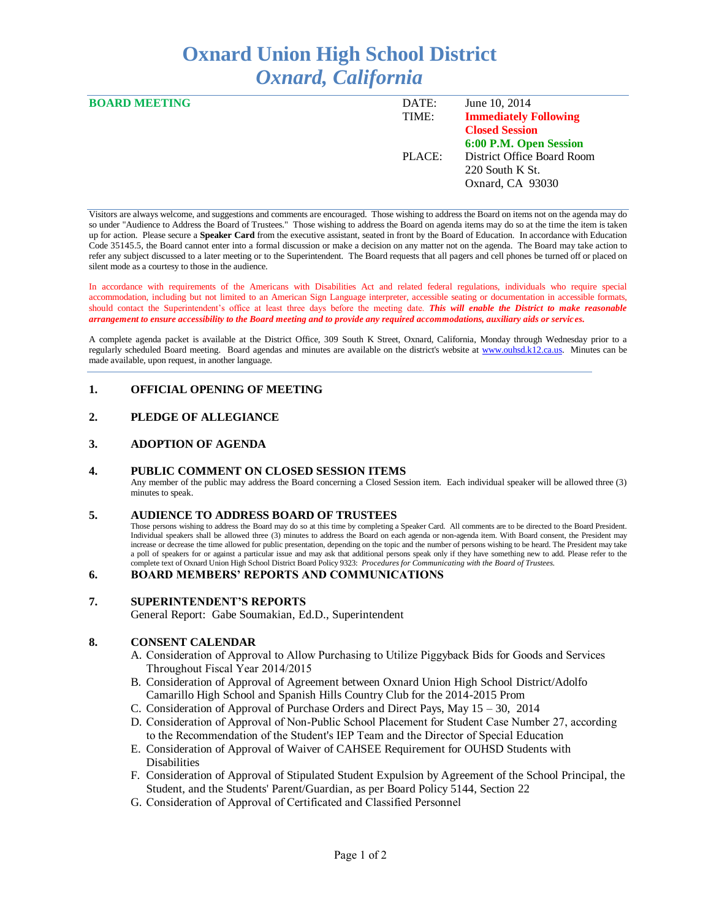# **Oxnard Union High School District** *Oxnard, California*

| <b>BOARD MEETING</b> | DATE:  | June 10, 2014                |
|----------------------|--------|------------------------------|
|                      | TIME:  | <b>Immediately Following</b> |
|                      |        | <b>Closed Session</b>        |
|                      |        | 6:00 P.M. Open Session       |
|                      | PLACE: | District Office Board Room   |
|                      |        | $220$ South K St.            |
|                      |        | Oxnard, CA 93030             |
|                      |        |                              |

Visitors are always welcome, and suggestions and comments are encouraged. Those wishing to address the Board on items not on the agenda may do so under "Audience to Address the Board of Trustees." Those wishing to address the Board on agenda items may do so at the time the item is taken up for action. Please secure a **Speaker Card** from the executive assistant, seated in front by the Board of Education. In accordance with Education Code 35145.5, the Board cannot enter into a formal discussion or make a decision on any matter not on the agenda. The Board may take action to refer any subject discussed to a later meeting or to the Superintendent. The Board requests that all pagers and cell phones be turned off or placed on silent mode as a courtesy to those in the audience.

In accordance with requirements of the Americans with Disabilities Act and related federal regulations, individuals who require special accommodation, including but not limited to an American Sign Language interpreter, accessible seating or documentation in accessible formats, should contact the Superintendent's office at least three days before the meeting date. *This will enable the District to make reasonable arrangement to ensure accessibility to the Board meeting and to provide any required accommodations, auxiliary aids or services.* 

A complete agenda packet is available at the District Office, 309 South K Street, Oxnard, California, Monday through Wednesday prior to a regularly scheduled Board meeting. Board agendas and minutes are available on the district's website at [www.ouhsd.k12.ca.us.](http://www.ouhsd.k12.ca.us/)Minutes can be made available, upon request, in another language.

## **1. OFFICIAL OPENING OF MEETING**

## **2. PLEDGE OF ALLEGIANCE**

## **3. ADOPTION OF AGENDA**

#### **4. PUBLIC COMMENT ON CLOSED SESSION ITEMS**

Any member of the public may address the Board concerning a Closed Session item. Each individual speaker will be allowed three (3) minutes to speak.

#### **5. AUDIENCE TO ADDRESS BOARD OF TRUSTEES**

Those persons wishing to address the Board may do so at this time by completing a Speaker Card. All comments are to be directed to the Board President. Individual speakers shall be allowed three (3) minutes to address the Board on each agenda or non-agenda item. With Board consent, the President may increase or decrease the time allowed for public presentation, depending on the topic and the number of persons wishing to be heard. The President may take a poll of speakers for or against a particular issue and may ask that additional persons speak only if they have something new to add. Please refer to the complete text of Oxnard Union High School District Board Policy 9323: *Procedures for Communicating with the Board of Trustees.*

#### **6. BOARD MEMBERS' REPORTS AND COMMUNICATIONS**

#### **7. SUPERINTENDENT'S REPORTS**

General Report: Gabe Soumakian, Ed.D., Superintendent

#### **8. CONSENT CALENDAR**

- A. Consideration of Approval to Allow Purchasing to Utilize Piggyback Bids for Goods and Services Throughout Fiscal Year 2014/2015
- B. Consideration of Approval of Agreement between Oxnard Union High School District/Adolfo Camarillo High School and Spanish Hills Country Club for the 2014-2015 Prom
- C. Consideration of Approval of Purchase Orders and Direct Pays, May 15 30, 2014
- D. Consideration of Approval of Non-Public School Placement for Student Case Number 27, according to the Recommendation of the Student's IEP Team and the Director of Special Education
- E. Consideration of Approval of Waiver of CAHSEE Requirement for OUHSD Students with Disabilities
- F. Consideration of Approval of Stipulated Student Expulsion by Agreement of the School Principal, the Student, and the Students' Parent/Guardian, as per Board Policy 5144, Section 22
- G. Consideration of Approval of Certificated and Classified Personnel